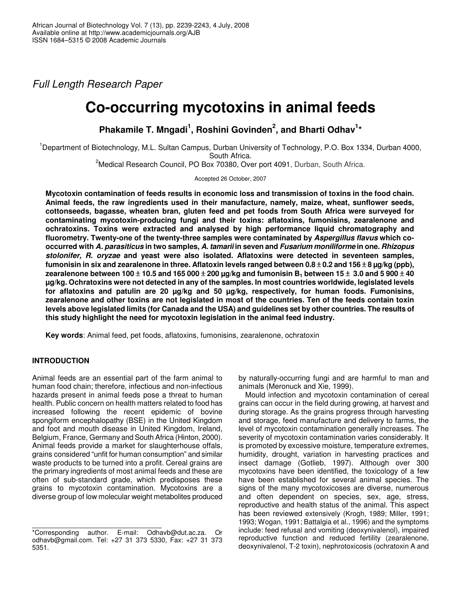*Full Length Research Paper*

# **Co-occurring mycotoxins in animal feeds**

Phakamile T. Mngadi<sup>1</sup>, Roshini Govinden<sup>2</sup>, and Bharti Odhav<sup>1</sup>\*

<sup>1</sup>Department of Biotechnology, M.L. Sultan Campus, Durban University of Technology, P.O. Box 1334, Durban 4000, South Africa.

<sup>2</sup>Medical Research Council, PO Box 70380, Over port 4091, Durban, South Africa.

Accepted 26 October, 2007

**Mycotoxin contamination of feeds results in economic loss and transmission of toxins in the food chain. Animal feeds, the raw ingredients used in their manufacture, namely, maize, wheat, sunflower seeds, cottonseeds, bagasse, wheaten bran, gluten feed and pet foods from South Africa were surveyed for contaminating mycotoxin-producing fungi and their toxins: aflatoxins, fumonisins, zearalenone and ochratoxins. Toxins were extracted and analysed by high performance liquid chromatography and fluorometry. Twenty-one of the twenty-three samples were contaminated by** *Aspergillus flavus* **which co**occurred with A. parasiticus in two samples, A. tamarii in seven and Fusarium moniliforme in one. Rhizopus *stolonifer, R. oryzae* **and yeast were also isolated. Aflatoxins were detected in seventeen samples,** fumonisin in six and zearalenone in three. Aflatoxin levels ranged between  $0.8 \pm 0.2$  and 156  $\pm$  8 µg/kg (ppb), zearalenone between 100  $\pm$  10.5 and 165 000  $\pm$  200 µg/kg and fumonisin B<sub>1</sub> between 15  $\pm$  3.0 and 5 900  $\pm$  40 **µg/kg. Ochratoxins were not detected in any of the samples. In most countries worldwide, legislated levels for aflatoxins and patulin are 20 µg/kg and 50 µg/kg, respectively, for human foods. Fumonisins,** zearalenone and other toxins are not legislated in most of the countries. Ten of the feeds contain toxin levels above legislated limits (for Canada and the USA) and guidelines set by other countries. The results of **this study highlight the need for mycotoxin legislation in the animal feed industry.**

**Key words**: Animal feed, pet foods, aflatoxins, fumonisins, zearalenone, ochratoxin

## **INTRODUCTION**

Animal feeds are an essential part of the farm animal to human food chain; therefore, infectious and non-infectious hazards present in animal feeds pose a threat to human health. Public concern on health matters related to food has increased following the recent epidemic of bovine spongiform encephalopathy (BSE) in the United Kingdom and foot and mouth disease in United Kingdom, Ireland, Belgium, France, Germany and South Africa (Hinton, 2000). Animal feeds provide a market for slaughterhouse offals, grains considered "unfit for human consumption" and similar waste products to be turned into a profit. Cereal grains are the primary ingredients of most animal feeds and these are often of sub-standard grade, which predisposes these grains to mycotoxin contamination. Mycotoxins are a diverse group of low molecular weight metabolites produced by naturally-occurring fungi and are harmful to man and animals (Meronuck and Xie, 1999).

Mould infection and mycotoxin contamination of cereal grains can occur in the field during growing, at harvest and during storage. As the grains progress through harvesting and storage, feed manufacture and delivery to farms, the level of mycotoxin contamination generally increases. The severity of mycotoxin contamination varies considerably. It is promoted by excessive moisture, temperature extremes, humidity, drought, variation in harvesting practices and insect damage (Gotlieb, 1997). Although over 300 mycotoxins have been identified, the toxicology of a few have been established for several animal species. The signs of the many mycotoxicoses are diverse, numerous and often dependent on species, sex, age, stress, reproductive and health status of the animal. This aspect has been reviewed extensively (Krogh, 1989; Miller, 1991; 1993; Wogan, 1991; Battalgia et al., 1996) and the symptoms include: feed refusal and vomiting (deoxynivalenol), impaired reproductive function and reduced fertility (zearalenone, deoxynivalenol, T-2 toxin), nephrotoxicosis (ochratoxin A and

<sup>\*</sup>Corresponding author. E-mail: Odhavb@dut.ac.za. Or odhavb@gmail.com. Tel: +27 31 373 5330, Fax: +27 31 373 5351.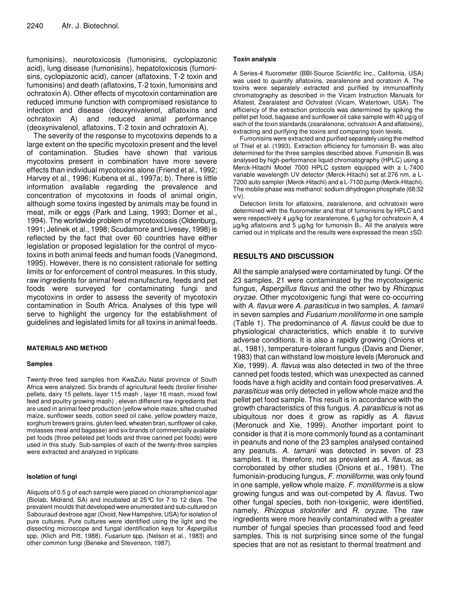fumonisins), neurotoxicosis (fumonisins, cyclopiazonic acid), lung disease (fumonisins), hepatotoxicosis (fumonisins, cyclopiazonic acid), cancer (aflatoxins, T-2 toxin and fumonisins) and death (aflatoxins, T-2 toxin, fumonisins and ochratoxin A). Other effects of mycotoxin contamination are reduced immune function with compromised resistance to infection and disease (deoxynivalenol, aflatoxins and ochratoxin A) and reduced animal performance (deoxynivalenol, aflatoxins, T-2 toxin and ochratoxin A).

The severity of the response to mycotoxins depends to a large extent on the specific mycotoxin present and the level of contamination. Studies have shown that various mycotoxins present in combination have more severe effects than individual mycotoxins alone (Friend et al., 1992; Harvey et al*.*, 1996; Kubena et al., 1997a; b). There is little information available regarding the prevalence and concentration of mycotoxins in foods of animal origin, although some toxins ingested by animals may be found in meat, milk or eggs (Park and Laing, 1993; Dorner et al., 1994). The worldwide problem of mycotoxicosis (Oldenburg, 1991; Jelinek et al., 1998; Scudamore and Livesey, 1998) is reflected by the fact that over 60 countries have either legislation or proposed legislation for the control of mycotoxins in both animal feeds and human foods (Vanegmond, 1995). However, there is no consistent rationale for setting limits or for enforcement of control measures. In this study, raw ingredients for animal feed manufacture, feeds and pet foods were surveyed for contaminating fungi and mycotoxins in order to assess the severity of mycotoxin contamination in South Africa. Analyses of this type will serve to highlight the urgency for the establishment of guidelines and legislated limits for all toxins in animal feeds.

#### **MATERIALS AND METHOD**

#### **Samples**

Twenty-three feed samples from KwaZulu Natal province of South Africa were analyzed. Six brands of agricultural feeds (broiler finisher pellets, dairy 15 pellets, layer 115 mash , layer 16 mash, mixed fowl feed and poultry growing mash) , eleven different raw ingredients that are used in animal feed production (yellow whole maize, sifted crushed maize, sunflower seeds, cotton seed oil cake, yellow powdery maize, sorghum brewers grains, gluten feed, wheaten bran, sunflower oil cake, molasses meal and bagasse) and six brands of commercially available pet foods (three pelleted pet foods and three canned pet foods) were used in this study. Sub-samples of each of the twenty-three samples were extracted and analyzed in triplicate.

#### **Isolation of fungi**

Aliquots of 0.5 g of each sample were placed on chloramphenicol agar (Biolab, Midrand, SA) and incubated at 25°C for 7 to 12 days. The prevalent moulds that developed were enumerated and sub-cultured on Sabouraud dextrose agar (Oxoid, New Hampshire, USA) for isolation of pure cultures. Pure cultures were identified using the light and the dissecting microscope and fungal identification keys for *Aspergillus* spp. (Klich and Pitt, 1988), *Fusarium* spp. (Nelson et al., 1983) and other common fungi (Beneke and Stevenson, 1987).

#### **Toxin analysis**

A Series-4 fluorometer (BBI-Source Scientific Inc., California, USA) was used to quantify aflatoxins, zearalenone and ocratoxin A. The toxins were separately extracted and purified by immunoaffinity chromatography as described in the Vicam Instruction Manuals for Aflatest, Zearalatest and Ochratest (Vicam, Watertown, USA). The efficiency of the extraction protocols was determined by spiking the pellet pet food, bagasse and sunflower oil cake sample with 40 µg/g of each of the toxin standards (zearalenone, ochratoxin A and aflatoxins), extracting and purifying the toxins and comparing toxin levels.

Fumonisins were extracted and purified separately using the method of Thiel et al. (1993). Extraction efficiency for fumonisin  $B_1$  was also determined for the three samples described above. Fumonisin  $B<sub>1</sub>$  was analysed by high-performance liquid chromatography (HPLC) using a Merck-Hitachi Model 7000 HPLC system equipped with a L-7400 variable wavelength UV detector (Merck-Hitachi) set at 276 nm, a L-7200 auto sampler (Merck-Hitachi) and a L-7100 pump (Merck-Hitachi). The mobile phase was methanol: sodium dihydrogen phosphate (68:32  $v/v$ ).

Detection limits for aflatoxins, zearalenone, and ochratoxin were determined with the fluorometer and that of fumonisins by HPLC and were respectively 4 µg/kg for zearalenone, 6 µg/kg for ochratoxin A, 4  $\mu$ g/kg aflatoxins and 5  $\mu$ g/kg for fumonisin B<sub>1</sub>. All the analysis were carried out in triplicate and the results were expressed the mean ±SD.

## **RESULTS AND DISCUSSION**

All the sample analysed were contaminated by fungi. Of the 23 samples, 21 were contaminated by the mycotoxigenic fungus, *Aspergillus flavus* and the other two by *Rhizopus oryzae*. Other mycotoxigenic fungi that were co-occurring with *A. flavus* were *A. parasiticus* in two samples, *A. tamarii* in seven samples and *Fusarium moniliforme* in one sample (Table 1). The predominance of *A. flavus* could be due to physiological characteristics, which enable it to survive adverse conditions. It is also a rapidly growing (Onions et al., 1981), temperature-tolerant fungus (Davis and Diener, 1983) that can withstand low moisture levels (Meronuck and Xie, 1999). *A. flavus* was also detected in two of the three canned pet foods tested, which was unexpected as canned foods have a high acidity and contain food preservatives. *A. parasiticus* was only detected in yellow whole maize and the pellet pet food sample. This result is in accordance with the growth characteristics of this fungus. *A. parasiticus* is not as ubiquitous nor does it grow as rapidly as *A. flavus* (Meronuck and Xie, 1999). Another important point to consider is that it is more commonly found as a contaminant in peanuts and none of the 23 samples analysed contained any peanuts. *A. tamarii* was detected in seven of 23 samples. It is, therefore, not as prevalent as *A. flavus*, as corroborated by other studies (Onions et al., 1981). The fumonisin-producing fungus, *F. moniliforme*, was only found in one sample, yellow whole maize. *F. moniliforme* is a slow growing fungus and was out-competed by *A. flavus*. Two other fungal species, both non-toxigenic, were identified, namely, *Rhizopus stolonifer* and *R. oryzae*. The raw ingredients were more heavily contaminated with a greater number of fungal species than processed food and feed samples. This is not surprising since some of the fungal species that are not as resistant to thermal treatment and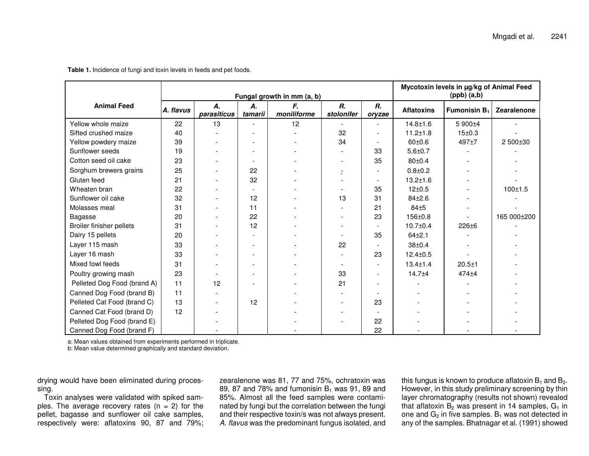**Table 1.** Incidence of fungi and toxin levels in feeds and pet foods.

|                             | Fungal growth in mm (a, b) |                   |               |                   |                  |                          |                   | Mycotoxin levels in µg/kg of Animal Feed<br>$(ppb)$ $(a,b)$ |             |  |
|-----------------------------|----------------------------|-------------------|---------------|-------------------|------------------|--------------------------|-------------------|-------------------------------------------------------------|-------------|--|
| <b>Animal Feed</b>          | A. flavus                  | Α.<br>parasiticus | Α.<br>tamarii | F.<br>moniliforme | R.<br>stolonifer | R.<br>oryzae             | <b>Aflatoxins</b> | <b>Fumonisin B1</b>                                         | Zearalenone |  |
| Yellow whole maize          | 22                         | 13                |               | 12                |                  | $\overline{a}$           | $14.8 + 1.6$      | 5 900±4                                                     |             |  |
| Sifted crushed maize        | 40                         |                   |               |                   | 32               | $\overline{\phantom{a}}$ | $11.2 \pm 1.8$    | $15 + 0.3$                                                  |             |  |
| Yellow powdery maize        | 39                         |                   |               |                   | 34               | $\overline{\phantom{a}}$ | 60±0.6            | 497±7                                                       | 2500±30     |  |
| Sunflower seeds             | 19                         |                   |               |                   |                  | 33                       | $5.6 + 0.7$       |                                                             |             |  |
| Cotton seed oil cake        | 23                         |                   |               |                   |                  | 35                       | 80±0.4            |                                                             |             |  |
| Sorghum brewers grains      | 25                         |                   | 22            |                   |                  | $\overline{\phantom{a}}$ | $0.8 + 0.2$       |                                                             |             |  |
| Gluten feed                 | 21                         |                   | 32            |                   |                  | $\overline{\phantom{a}}$ | $13.2 \pm 1.6$    |                                                             |             |  |
| Wheaten bran                | 22                         |                   |               |                   |                  | 35                       | $12 + 0.5$        |                                                             | 100±1.5     |  |
| Sunflower oil cake          | 32                         |                   | 12            |                   | 13               | 31                       | $84 + 2.6$        |                                                             |             |  |
| Molasses meal               | 31                         |                   | 11            |                   |                  | 21                       | 84±5              |                                                             |             |  |
| Bagasse                     | 20                         |                   | 22            |                   |                  | 23                       | $156 + 0.8$       |                                                             | 165 000±200 |  |
| Broiler finisher pellets    | 31                         |                   | 12            |                   |                  |                          | $10.7 \pm 0.4$    | $226 + 6$                                                   |             |  |
| Dairy 15 pellets            | 20                         |                   |               |                   |                  | 35                       | $64+2.1$          |                                                             |             |  |
| Layer 115 mash              | 33                         |                   |               |                   | 22               | $\overline{\phantom{a}}$ | $38 + 0.4$        |                                                             |             |  |
| Layer 16 mash               | 33                         |                   |               |                   |                  | 23                       | $12.4 \pm 0.5$    |                                                             |             |  |
| Mixed fowl feeds            | 31                         |                   |               |                   |                  | $\overline{\phantom{a}}$ | $13.4 \pm 1.4$    | $20.5 + 1$                                                  |             |  |
| Poultry growing mash        | 23                         |                   |               |                   | 33               | $\overline{\phantom{a}}$ | $14.7 + 4$        | $474 + 4$                                                   |             |  |
| Pelleted Dog Food (brand A) | 11                         | 12                |               |                   | 21               | $\overline{\phantom{a}}$ |                   |                                                             |             |  |
| Canned Dog Food (brand B)   | 11                         |                   |               |                   |                  | $\overline{\phantom{a}}$ |                   |                                                             |             |  |
| Pelleted Cat Food (brand C) | 13                         |                   | 12            |                   |                  | 23                       |                   |                                                             |             |  |
| Canned Cat Food (brand D)   | 12                         |                   |               |                   |                  |                          |                   |                                                             |             |  |
| Pelleted Dog Food (brand E) |                            |                   |               |                   |                  | 22                       |                   |                                                             |             |  |
| Canned Dog Food (brand F)   |                            |                   |               |                   |                  | 22                       |                   |                                                             |             |  |

a: Mean values obtained from experiments performed in triplicate.

b: Mean value determined graphically and standard deviation.

drying would have been eliminated during processing.

Toxin analyses were validated with spiked samples. The average recovery rates  $(n = 2)$  for the pellet, bagasse and sunflower oil cake samples, respectively were: aflatoxins 90, 87 and 79%; zearalenone was 81, 77 and 75%, ochratoxin was 89, 87 and 78% and fumonisin B $_1$  was 91, 89 and 85%. Almost all the feed samples were contaminated by fungi but the correlation between the fungi and their respective toxin/s was not always present. *A. flavus* was the predominant fungus isolated, and

this fungus is known to produce aflatoxin  $\mathsf{B}_1$  and  $\mathsf{B}_2$ . However, in this study preliminary screening by thin layer chromatography (results not shown) revealed that aflatoxin  $\mathsf{B}_2$  was present in 14 samples,  $\mathsf{G}_1$  in one and  $\mathsf{G}_2$  in five samples.  $\mathsf{B}_1$  was not detected in any of the samples. Bhatnagar et al. (1991) showed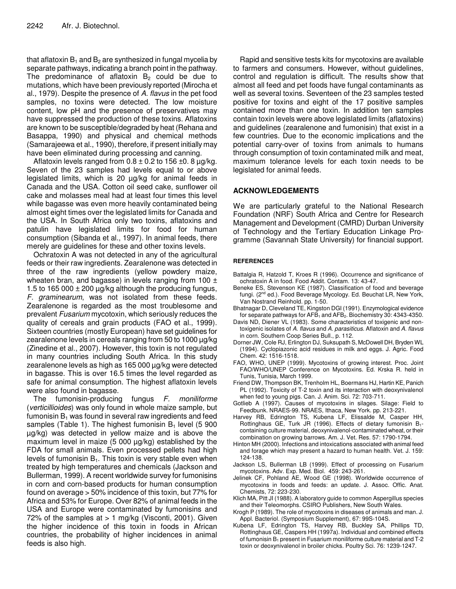that aflatoxin  $B_1$  and  $B_2$  are synthesized in fungal mycelia by separate pathways, indicating a branch point in the pathway. The predominance of aflatoxin  $B_2$  could be due to mutations, which have been previously reported (Mirocha et al., 1979). Despite the presence of *A. flavus* in the pet food samples, no toxins were detected. The low moisture content, low pH and the presence of preservatives may have suppressed the production of these toxins. Aflatoxins are known to be susceptible/degraded by heat (Rehana and Basappa, 1990) and physical and chemical methods (Samarajeewa et al., 1990), therefore, if present initially may have been eliminated during processing and canning.

Aflatoxin levels ranged from  $0.8 \pm 0.2$  to 156  $\pm 0.8$  µg/kg. Seven of the 23 samples had levels equal to or above legislated limits, which is 20 µg/kg for animal feeds in Canada and the USA. Cotton oil seed cake, sunflower oil cake and molasses meal had at least four times this level while bagasse was even more heavily contaminated being almost eight times over the legislated limits for Canada and the USA. In South Africa only two toxins, aflatoxins and patulin have legislated limits for food for human consumption (Sibanda et al., 1997). In animal feeds, there merely are guidelines for these and other toxins levels.

Ochratoxin A was not detected in any of the agricultural feeds or their raw ingredients. Zearalenone was detected in three of the raw ingredients (yellow powdery maize, wheaten bran, and bagasse) in levels ranging from 100  $\pm$ 1.5 to 165 000  $\pm$  200 µg/kg although the producing fungus, *F. graminearum*, was not isolated from these feeds. Zearalenone is regarded as the most troublesome and prevalent *Fusarium* mycotoxin, which seriously reduces the quality of cereals and grain products (FAO et al., 1999). Sixteen countries (mostly European) have set guidelines for zearalenone levels in cereals ranging from 50 to 1000 µg/kg (Zinedine et al., 2007). However, this toxin is not regulated in many countries including South Africa. In this study zearalenone levels as high as 165 000 µg/kg were detected in bagasse. This is over 16.5 times the level regarded as safe for animal consumption. The highest aflatoxin levels were also found in bagasse.

The fumonisin-producing fungus *F. moniliforme* (*verticillioides*) was only found in whole maize sample, but fumonisin  $B_1$  was found in several raw ingredients and feed samples (Table 1). The highest fumonisin  $B_1$  level (5 900 µg/kg) was detected in yellow maize and is above the maximum level in maize (5 000 µg/kg) established by the FDA for small animals. Even processed pellets had high levels of fumonisin  $B_1$ . This toxin is very stable even when treated by high temperatures and chemicals (Jackson and Bullerman, 1999). A recent worldwide survey for fumonisins in corn and corn-based products for human consumption found on average > 50% incidence of this toxin, but 77% for Africa and 53% for Europe. Over 82% of animal feeds in the USA and Europe were contaminated by fumonisins and 72% of the samples at  $> 1$  mg/kg (Visconti, 2001). Given the higher incidence of this toxin in foods in African countries, the probability of higher incidences in animal feeds is also high.

Rapid and sensitive tests kits for mycotoxins are available to farmers and consumers. However, without guidelines, control and regulation is difficult. The results show that almost all feed and pet foods have fungal contaminants as well as several toxins. Seventeen of the 23 samples tested positive for toxins and eight of the 17 positive samples contained more than one toxin. In addition ten samples contain toxin levels were above legislated limits (aflatoxins) and guidelines (zearalenone and fumonisin) that exist in a few countries. Due to the economic implications and the potential carry-over of toxins from animals to humans through consumption of toxin contaminated milk and meat, maximum tolerance levels for each toxin needs to be legislated for animal feeds.

## **ACKNOWLEDGEMENTS**

We are particularly grateful to the National Research Foundation (NRF) South Africa and Centre for Research Management and Development (CMRD) Durban University of Technology and the Tertiary Education Linkage Programme (Savannah State University) for financial support.

### **REFERENCES**

- Battalgia R, Hatzold T, Kroes R (1996). Occurrence and significance of ochratoxin A in food. Food Addit. Contam. 13: 43-47.
- Beneke ES, Stevenson KE (1987). Classification of food and beverage fungi. (2<sup>nd</sup> ed.). Food Beverage Mycology. Ed. Beuchat LR, New York, Van Nostrand Reinhold. pp. 1-50.
- Bhatnagar D, Cleveland TE, Kingston DGI (1991). Enzymological evidence for separate pathways for  $AFB<sub>1</sub>$  and  $AFB<sub>2</sub>$ . Biochemistry 30: 4343-4350.
- Davis ND, Diener VL (1983). Some characteristics of toxigenic and nontoxigenic isolates of *A. flavus* and *A. parasiticus*. Aflatoxin and *A. flavus* in corn. Southern Coop Series Bull., p. 112.
- Dorner JW, Cole RJ, Erlington DJ, Suksupath S, McDowell DH, Bryden WL (1994). Cyclopiazonic acid residues in milk and eggs. J. Agric. Food Chem. 42: 1516-1518.
- FAO, WHO, UNEP (1999). Mycotoxins of growing interest. Proc. Joint FAO/WHO/UNEP Conference on Mycotoxins. Ed. Krska R. held in Tunis, Tunisia, March 1999.
- Friend DW, Thompson BK, Trenholm HL, Boermans HJ, Hartin KE, Panich PL (1992). Toxicity of T-2 toxin and its interaction with deoxynivalenol when fed to young pigs. Can. J. Anim. Sci. 72: 703-711.
- Gotlieb A (1997). Causes of mycotoxins in silages. Silage: Field to Feedbunk. NRAES-99. NRAES, Ithaca, New York. pp. 213-221.
- Harvey RB, Edrington TS, Kubena LF, Elissalde M, Casper HH, Rottinghaus GE, Turk JR (1996). Effects of dietary fumonisin  $B_1$ containing culture material, deoxynivalenol-contaminated wheat, or their combination on growing barrows. Am. J. Vet. Res. 57: 1790-1794.
- Hinton MH (2000). Infections and intoxications associated with animal feed and forage which may present a hazard to human health. Vet. J. 159: 124-138.
- Jackson LS, Bullerman LB (1999). Effect of processing on Fusarium mycotoxins. Adv. Exp. Med. Biol. 459: 243-261.
- Jelinek CF, Pohland AE, Wood GE (1998). Worldwide occurrence of mycotoxins in foods and feeds: an update. J. Assoc. Offic. Anat. Chemists, 72: 223-230.
- Klich MA, Pitt JI (1988). A laboratory guide to common Aspergillus species and their Teleomorphs. CSIRO Publishers, New South Wales.
- Krogh P (1989). The role of mycotoxins in diseases of animals and man. J. Appl. Bacteriol. (Symposium Supplement), 67: 99S-104S.
- Kubena LF, Edrington TS, Harvey RB, Buckley SA, Phillips TD, Rottinghaus GE, Caspers HH (1997a). Individual and combined effects of fumonisin  $B_1$  present in Fusarium moniliforme culture material and T-2 toxin or deoxynivalenol in broiler chicks. Poultry Sci. 76: 1239-1247.